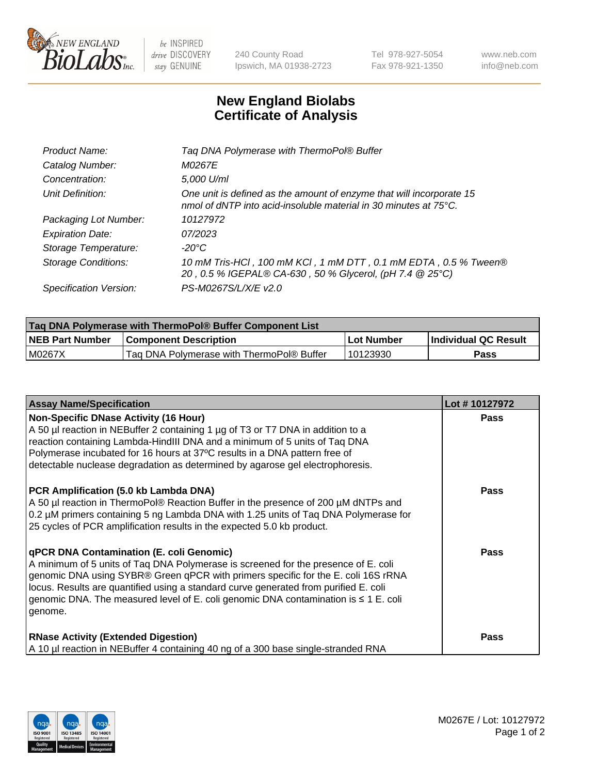

 $be$  INSPIRED drive DISCOVERY stay GENUINE

240 County Road Ipswich, MA 01938-2723 Tel 978-927-5054 Fax 978-921-1350 www.neb.com info@neb.com

## **New England Biolabs Certificate of Analysis**

| Product Name:              | Tag DNA Polymerase with ThermoPol® Buffer                                                                                                |
|----------------------------|------------------------------------------------------------------------------------------------------------------------------------------|
| Catalog Number:            | M0267E                                                                                                                                   |
| Concentration:             | 5,000 U/ml                                                                                                                               |
| Unit Definition:           | One unit is defined as the amount of enzyme that will incorporate 15<br>nmol of dNTP into acid-insoluble material in 30 minutes at 75°C. |
| Packaging Lot Number:      | 10127972                                                                                                                                 |
| <b>Expiration Date:</b>    | 07/2023                                                                                                                                  |
| Storage Temperature:       | $-20^{\circ}$ C                                                                                                                          |
| <b>Storage Conditions:</b> | 10 mM Tris-HCl, 100 mM KCl, 1 mM DTT, 0.1 mM EDTA, 0.5 % Tween®<br>20, 0.5 % IGEPAL® CA-630, 50 % Glycerol, (pH 7.4 @ 25°C)              |
| Specification Version:     | PS-M0267S/L/X/E v2.0                                                                                                                     |

| Taq DNA Polymerase with ThermoPol® Buffer Component List |                                           |            |                      |  |
|----------------------------------------------------------|-------------------------------------------|------------|----------------------|--|
| <b>NEB Part Number</b>                                   | <b>Component Description</b>              | Lot Number | Individual QC Result |  |
| M0267X                                                   | Tag DNA Polymerase with ThermoPol® Buffer | 10123930   | Pass                 |  |

| <b>Assay Name/Specification</b>                                                                                                                                                                                                                                                                                                                                                                                    | Lot #10127972 |
|--------------------------------------------------------------------------------------------------------------------------------------------------------------------------------------------------------------------------------------------------------------------------------------------------------------------------------------------------------------------------------------------------------------------|---------------|
| <b>Non-Specific DNase Activity (16 Hour)</b><br>A 50 µl reaction in NEBuffer 2 containing 1 µg of T3 or T7 DNA in addition to a<br>reaction containing Lambda-HindIII DNA and a minimum of 5 units of Taq DNA<br>Polymerase incubated for 16 hours at 37°C results in a DNA pattern free of<br>detectable nuclease degradation as determined by agarose gel electrophoresis.                                       | <b>Pass</b>   |
| PCR Amplification (5.0 kb Lambda DNA)<br>A 50 µl reaction in ThermoPol® Reaction Buffer in the presence of 200 µM dNTPs and<br>0.2 µM primers containing 5 ng Lambda DNA with 1.25 units of Tag DNA Polymerase for<br>25 cycles of PCR amplification results in the expected 5.0 kb product.                                                                                                                       | <b>Pass</b>   |
| qPCR DNA Contamination (E. coli Genomic)<br>A minimum of 5 units of Taq DNA Polymerase is screened for the presence of E. coli<br>genomic DNA using SYBR® Green qPCR with primers specific for the E. coli 16S rRNA<br>locus. Results are quantified using a standard curve generated from purified E. coli<br>genomic DNA. The measured level of E. coli genomic DNA contamination is $\leq 1$ E. coli<br>genome. | <b>Pass</b>   |
| <b>RNase Activity (Extended Digestion)</b><br>A 10 µl reaction in NEBuffer 4 containing 40 ng of a 300 base single-stranded RNA                                                                                                                                                                                                                                                                                    | Pass          |